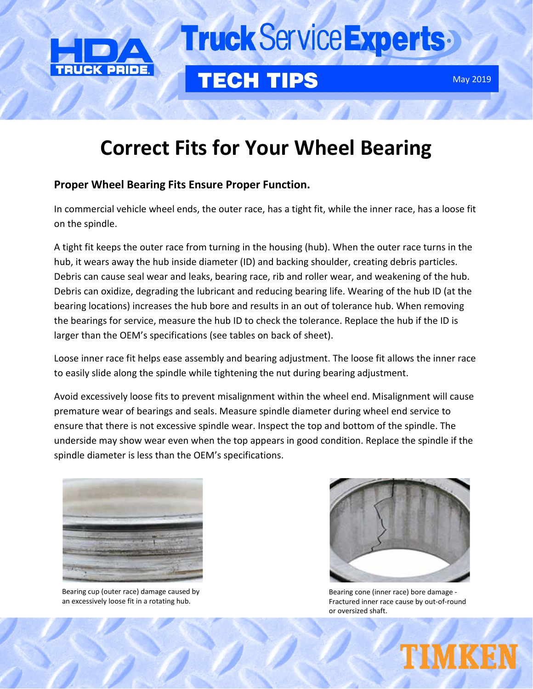

49042

# Truck Service Experts

### **TECH TIPS**

## **Correct Fits for Your Wheel Bearing**

### **Proper Wheel Bearing Fits Ensure Proper Function.**

In commercial vehicle wheel ends, the outer race, has a tight fit, while the inner race, has a loose fit on the spindle.

A tight fit keeps the outer race from turning in the housing (hub). When the outer race turns in the hub, it wears away the hub inside diameter (ID) and backing shoulder, creating debris particles. Debris can cause seal wear and leaks, bearing race, rib and roller wear, and weakening of the hub. Debris can oxidize, degrading the lubricant and reducing bearing life. Wearing of the hub ID (at the bearing locations) increases the hub bore and results in an out of tolerance hub. When removing the bearings for service, measure the hub ID to check the tolerance. Replace the hub if the ID is larger than the OEM's specifications (see tables on back of sheet).

Loose inner race fit helps ease assembly and bearing adjustment. The loose fit allows the inner race to easily slide along the spindle while tightening the nut during bearing adjustment.

Avoid excessively loose fits to prevent misalignment within the wheel end. Misalignment will cause premature wear of bearings and seals. Measure spindle diameter during wheel end service to ensure that there is not excessive spindle wear. Inspect the top and bottom of the spindle. The underside may show wear even when the top appears in good condition. Replace the spindle if the spindle diameter is less than the OEM's specifications.



Bearing cup (outer race) damage caused by an excessively loose fit in a rotating hub.



Bearing cone (inner race) bore damage - Fractured inner race cause by out-of-round or oversized shaft.